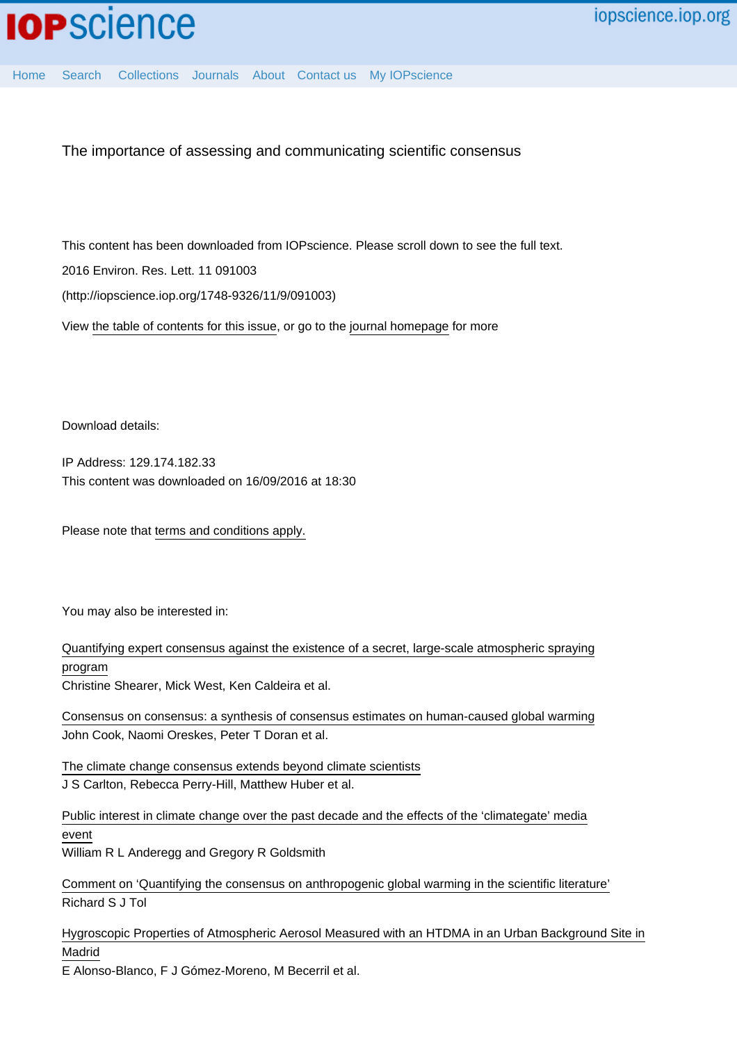[Home](http://iopscience.iop.org/) [Search](http://iopscience.iop.org/search) [Collections](http://iopscience.iop.org/collections) [Journals](http://iopscience.iop.org/journals) [About](http://iopscience.iop.org/page/aboutioppublishing) [Contact us](http://iopscience.iop.org/contact) [My IOPscience](http://iopscience.iop.org/myiopscience)

The importance of assessing and communicating scientific consensus

This content has been downloaded from IOPscience. Please scroll down to see the full text. 2016 Environ. Res. Lett. 11 091003 (http://iopscience.iop.org/1748-9326/11/9/091003)

View [the table of contents for this issue](http://iopscience.iop.org/1748-9326/11/9), or go to the [journal homepage](http://iopscience.iop.org/1748-9326) for more

Download details:

IP Address: 129.174.182.33 This content was downloaded on 16/09/2016 at 18:30

Please note that [terms and conditions apply.](http://iopscience.iop.org/page/terms)

You may also be interested in:

|         |  |  |  | Quantifying expert consensus against the existence of a secret, large-scale atmospheric spraying |  |
|---------|--|--|--|--------------------------------------------------------------------------------------------------|--|
| program |  |  |  |                                                                                                  |  |
|         |  |  |  |                                                                                                  |  |

Christine Shearer, Mick West, Ken Caldeira et al.

[Consensus on consensus: a synthesis of consensus estimates on human-caused global warming](http://iopscience.iop.org/article/10.1088/1748-9326/11/4/048002) John Cook, Naomi Oreskes, Peter T Doran et al.

[The climate change consensus extends beyond climate scientists](http://iopscience.iop.org/article/10.1088/1748-9326/10/9/094025) J S Carlton, Rebecca Perry-Hill, Matthew Huber et al.

[Public interest in climate change over the past decade and the effects of the 'climategate' media](http://iopscience.iop.org/article/10.1088/1748-9326/9/5/054005) [event](http://iopscience.iop.org/article/10.1088/1748-9326/9/5/054005)

William R L Anderegg and Gregory R Goldsmith

|                 | Comment on 'Quantifying the consensus on anthropogenic global warming in the scientific literature' |  |  |  |
|-----------------|-----------------------------------------------------------------------------------------------------|--|--|--|
| Richard S J Tol |                                                                                                     |  |  |  |

[Hygroscopic Properties of Atmospheric Aerosol Measured with an HTDMA in an Urban Background Site in](http://iopscience.iop.org/article/10.1088/1755-1315/28/1/012002) [Madrid](http://iopscience.iop.org/article/10.1088/1755-1315/28/1/012002)

E Alonso-Blanco, F J Gómez-Moreno, M Becerril et al.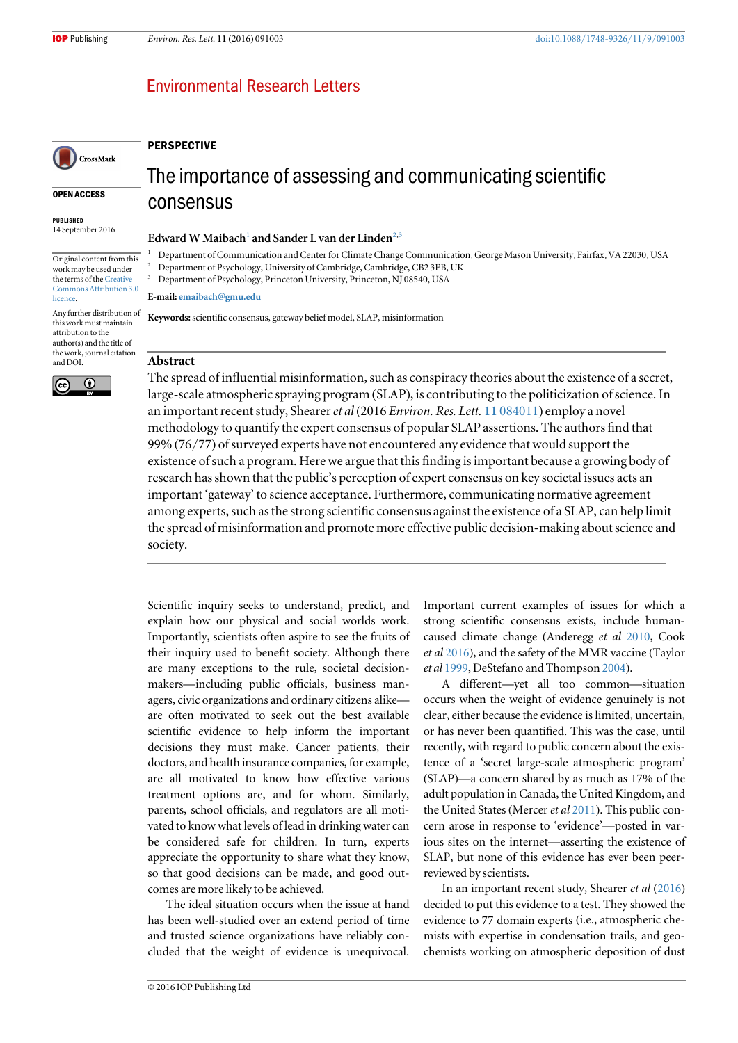# **Environmental Research Letters**

#### **PERSPECTIVE**

#### OPEN ACCESS

CrossMark

PUBLISHED 14 September 2016

Original content from this work may be used under the terms of the [Creative](http://creativecommons.org/licenses/by/3.0) [Commons Attribution 3.0](http://creativecommons.org/licenses/by/3.0) [licence.](http://creativecommons.org/licenses/by/3.0)

Any further distribution of this work must maintain attribution to the author(s) and the title of the work, journal citation and DOI.



# The importance of assessing and communicating scientific consensus

# <span id="page-1-0"></span>Edward W Maibach<sup>[1](#page-1-0)</sup> and Sander L van der Linden<sup>[2](#page-1-1)[,3](#page-1-2)</sup>

- <span id="page-1-1"></span><sup>1</sup> Department of Communication and Center for Climate Change Communication, George Mason University, Fairfax, VA 22030, USA
	- <sup>2</sup> Department of Psychology, University of Cambridge, Cambridge, CB2 3EB, UK
	- <sup>3</sup> Department of Psychology, Princeton University, Princeton, NJ 08540, USA

<span id="page-1-2"></span>E-mail: [emaibach@gmu.edu](mailto:emaibach@gmu.edu)

Keywords: scientific consensus, gateway belief model, SLAP, misinformation

#### Abstract

The spread of influential misinformation, such as conspiracy theories about the existence of a secret, large-scale atmospheric spraying program (SLAP), is contributing to the politicization of science. In an important recent study, Shearer et al (2016 Environ. Res. Lett. 11 [084011](http://dx.doi.org/10.1088/1748-9326/11/8/084011)) employ a novel methodology to quantify the expert consensus of popular SLAP assertions. The authors find that 99% (76/77) of surveyed experts have not encountered any evidence that would support the existence of such a program. Here we argue that this finding is important because a growing body of research has shown that the public's perception of expert consensus on key societal issues acts an important 'gateway' to science acceptance. Furthermore, communicating normative agreement among experts, such as the strong scientific consensus against the existence of a SLAP, can help limit the spread of misinformation and promote more effective public decision-making about science and society.

Scientific inquiry seeks to understand, predict, and explain how our physical and social worlds work. Importantly, scientists often aspire to see the fruits of their inquiry used to benefit society. Although there are many exceptions to the rule, societal decisionmakers—including public officials, business managers, civic organizations and ordinary citizens alike are often motivated to seek out the best available scientific evidence to help inform the important decisions they must make. Cancer patients, their doctors, and health insurance companies, for example, are all motivated to know how effective various treatment options are, and for whom. Similarly, parents, school officials, and regulators are all motivated to know what levels of lead in drinking water can be considered safe for children. In turn, experts appreciate the opportunity to share what they know, so that good decisions can be made, and good outcomes are more likely to be achieved.

The ideal situation occurs when the issue at hand has been well-studied over an extend period of time and trusted science organizations have reliably concluded that the weight of evidence is unequivocal.

© 2016 IOP Publishing Ltd

Important current examples of issues for which a strong scientific consensus exists, include humancaused climate change (Anderegg et al [2010,](#page-2-0) Cook et al [2016](#page-2-1)), and the safety of the MMR vaccine (Taylor et al [1999,](#page-3-0) DeStefano and Thompson [2004](#page-2-2)).

A different—yet all too common—situation occurs when the weight of evidence genuinely is not clear, either because the evidence is limited, uncertain, or has never been quantified. This was the case, until recently, with regard to public concern about the existence of a 'secret large-scale atmospheric program' (SLAP)—a concern shared by as much as 17% of the adult population in Canada, the United Kingdom, and the United States (Mercer et al [2011](#page-3-1)). This public concern arose in response to 'evidence'—posted in various sites on the internet—asserting the existence of SLAP, but none of this evidence has ever been peerreviewed by scientists.

In an important recent study, Shearer et al ([2016](#page-3-2)) decided to put this evidence to a test. They showed the evidence to 77 domain experts (i.e., atmospheric chemists with expertise in condensation trails, and geochemists working on atmospheric deposition of dust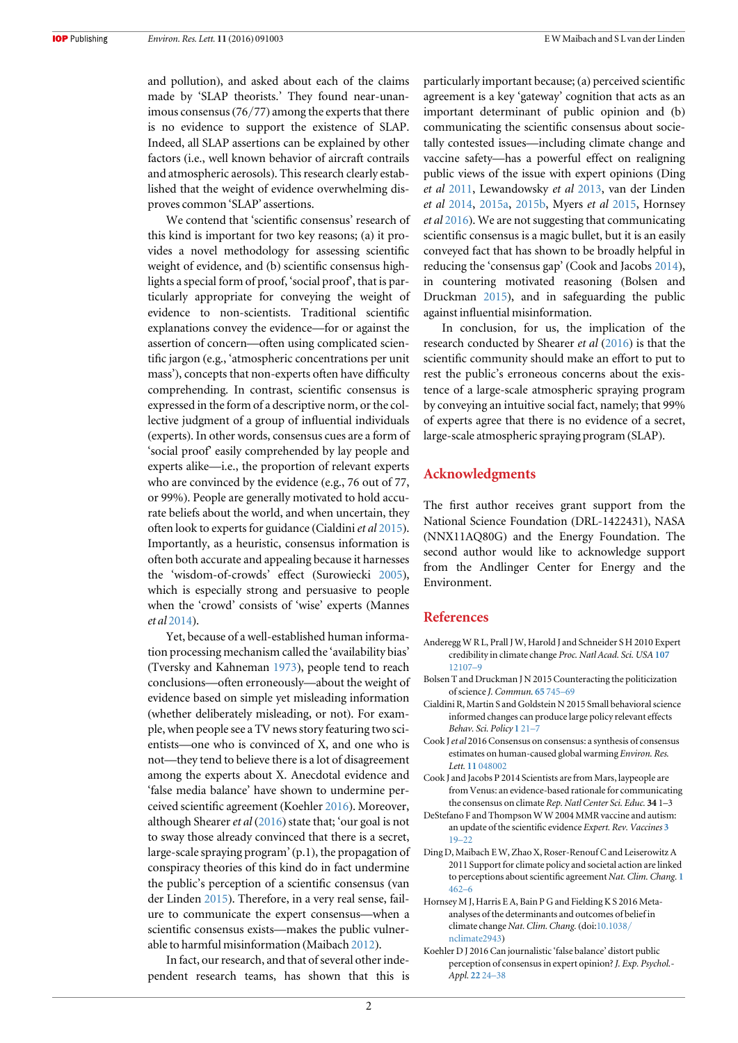and pollution), and asked about each of the claims made by 'SLAP theorists.' They found near-unanimous consensus(76/77) among the experts that there is no evidence to support the existence of SLAP. Indeed, all SLAP assertions can be explained by other factors (i.e., well known behavior of aircraft contrails and atmospheric aerosols). This research clearly established that the weight of evidence overwhelming disproves common 'SLAP' assertions.

We contend that 'scientific consensus' research of this kind is important for two key reasons; (a) it provides a novel methodology for assessing scientific weight of evidence, and (b) scientific consensus highlights a special form of proof, 'social proof', that is particularly appropriate for conveying the weight of evidence to non-scientists. Traditional scientific explanations convey the evidence—for or against the assertion of concern—often using complicated scientific jargon (e.g., 'atmospheric concentrations per unit mass'), concepts that non-experts often have difficulty comprehending. In contrast, scientific consensus is expressed in the form of a descriptive norm, or the collective judgment of a group of influential individuals (experts). In other words, consensus cues are a form of 'social proof' easily comprehended by lay people and experts alike—i.e., the proportion of relevant experts who are convinced by the evidence (e.g., 76 out of 77, or 99%). People are generally motivated to hold accurate beliefs about the world, and when uncertain, they often look to experts for guidance (Cialdini et al [2015](#page-2-3)). Importantly, as a heuristic, consensus information is often both accurate and appealing because it harnesses the 'wisdom-of-crowds' effect (Surowiecki [2005](#page-3-3)), which is especially strong and persuasive to people when the 'crowd' consists of 'wise' experts (Mannes et al [2014](#page-3-4)).

Yet, because of a well-established human information processing mechanism called the 'availability bias' (Tversky and Kahneman [1973](#page-3-5)), people tend to reach conclusions—often erroneously—about the weight of evidence based on simple yet misleading information (whether deliberately misleading, or not). For example, when people see a TV news story featuring two scientists—one who is convinced of X, and one who is not—they tend to believe there is a lot of disagreement among the experts about X. Anecdotal evidence and 'false media balance' have shown to undermine perceived scientific agreement (Koehler [2016](#page-2-4)). Moreover, although Shearer et al ([2016](#page-3-2)) state that; 'our goal is not to sway those already convinced that there is a secret, large-scale spraying program' (p.1), the propagation of conspiracy theories of this kind do in fact undermine the public's perception of a scientific consensus (van der Linden [2015](#page-3-6)). Therefore, in a very real sense, failure to communicate the expert consensus—when a scientific consensus exists—makes the public vulnerable to harmful misinformation (Maibach [2012](#page-3-7)).

In fact, our research, and that of several other independent research teams, has shown that this is particularly important because; (a) perceived scientific agreement is a key 'gateway' cognition that acts as an important determinant of public opinion and (b) communicating the scientific consensus about societally contested issues—including climate change and vaccine safety—has a powerful effect on realigning public views of the issue with expert opinions (Ding et al [2011](#page-2-5), Lewandowsky et al [2013](#page-3-8), van der Linden et al [2014](#page-3-9), [2015a](#page-3-10), [2015b](#page-3-11), Myers et al [2015](#page-3-12), Hornsey et al [2016](#page-2-6)). We are not suggesting that communicating scientific consensus is a magic bullet, but it is an easily conveyed fact that has shown to be broadly helpful in reducing the 'consensus gap' (Cook and Jacobs [2014](#page-2-7)), in countering motivated reasoning (Bolsen and Druckman [2015](#page-2-8)), and in safeguarding the public against influential misinformation.

In conclusion, for us, the implication of the research conducted by Shearer et al ([2016](#page-3-2)) is that the scientific community should make an effort to put to rest the public's erroneous concerns about the existence of a large-scale atmospheric spraying program by conveying an intuitive social fact, namely; that 99% of experts agree that there is no evidence of a secret, large-scale atmospheric spraying program (SLAP).

## Acknowledgments

The first author receives grant support from the National Science Foundation (DRL-1422431), NASA (NNX11AQ80G) and the Energy Foundation. The second author would like to acknowledge support from the Andlinger Center for Energy and the Environment.

### References

- <span id="page-2-0"></span>Anderegg W R L, Prall JW, Harold J and Schneider S H 2010 Expert credibility in climate change Proc. Natl Acad. Sci. USA [107](http://dx.doi.org/10.1073/pnas.1003187107) [12107](http://dx.doi.org/10.1073/pnas.1003187107)–9
- <span id="page-2-8"></span>Bolsen T and Druckman J N 2015 Counteracting the politicization of science J. Commun. 65 [745](http://dx.doi.org/10.1111/jcom.12171)–69
- <span id="page-2-3"></span>Cialdini R, Martin S and Goldstein N 2015 Small behavioral science informed changes can produce large policy relevant effects Behav. Sci. Policy 1 [21](http://dx.doi.org/10.1353/bsp.2015.0008)–7
- <span id="page-2-1"></span>Cook Jet al 2016 Consensus on consensus: a synthesis of consensus estimates on human-caused global warming Environ. Res. Lett. 11 [048002](http://dx.doi.org/10.1088/1748-9326/11/4/048002)
- <span id="page-2-7"></span>Cook J and Jacobs P 2014 Scientists are from Mars, laypeople are from Venus: an evidence-based rationale for communicating the consensus on climate Rep. Natl Center Sci. Educ. 34 1–3
- <span id="page-2-2"></span>DeStefano F and Thompson W W 2004 MMR vaccine and autism: an update of the scientific evidence Expert. Rev. Vaccines [3](http://dx.doi.org/10.1586/14760584.3.1.19) [19](http://dx.doi.org/10.1586/14760584.3.1.19)–22
- <span id="page-2-5"></span>Ding D, Maibach E W, Zhao X, Roser-Renouf C and Leiserowitz A 2011 Support for climate policy and societal action are linked to perceptions about scientific agreement Nat. Clim. Chang. [1](http://dx.doi.org/10.1038/nclimate1295) [462](http://dx.doi.org/10.1038/nclimate1295)–6
- <span id="page-2-6"></span>Hornsey M J, Harris E A, Bain P G and Fielding K S 2016 Metaanalyses of the determinants and outcomes of belief in climate change Nat. Clim. Chang. ([doi:10.1038](http://dx.doi.org/10.1038/nclimate2943)/ [nclimate2943](http://dx.doi.org/10.1038/nclimate2943))
- <span id="page-2-4"></span>Koehler D J 2016 Can journalistic 'false balance' distort public perception of consensus in expert opinion? J. Exp. Psychol.- Appl. [22](http://dx.doi.org/10.1037/xap0000073) 24–38